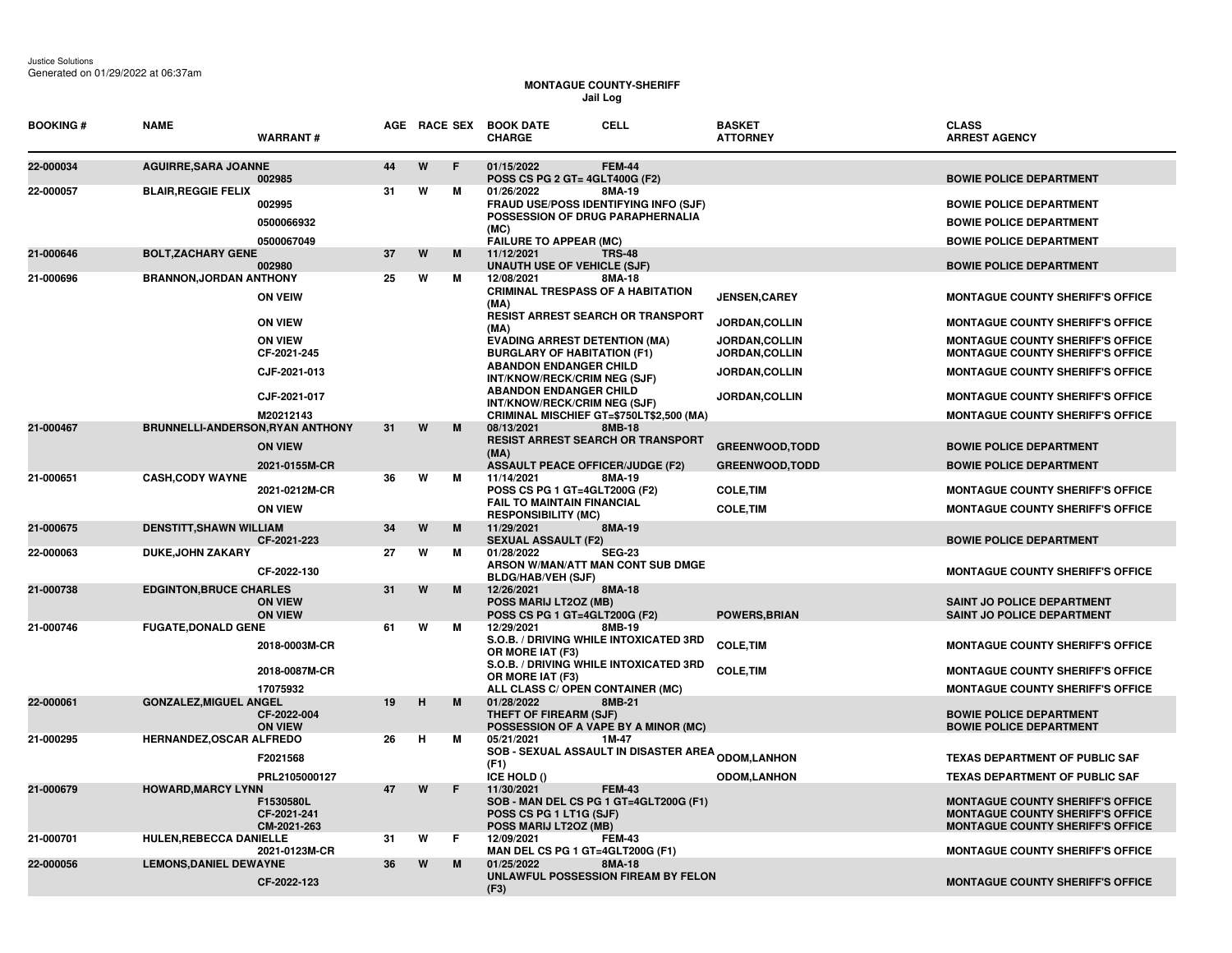## **MONTAGUE COUNTY-SHERIFF Jail Log**

| <b>BOOKING#</b> | <b>NAME</b>                      | <b>WARRANT#</b>                         |    |   |    | <b>CELL</b><br>AGE RACE SEX BOOK DATE<br><b>CHARGE</b>                                                                                            | <b>BASKET</b><br><b>ATTORNEY</b>       | <b>CLASS</b><br><b>ARREST AGENCY</b>                                                                                          |
|-----------------|----------------------------------|-----------------------------------------|----|---|----|---------------------------------------------------------------------------------------------------------------------------------------------------|----------------------------------------|-------------------------------------------------------------------------------------------------------------------------------|
| 22-000034       | <b>AGUIRRE, SARA JOANNE</b>      | 002985                                  | 44 | W | E  | 01/15/2022<br><b>FEM-44</b><br>POSS CS PG 2 GT= 4GLT400G (F2)                                                                                     |                                        | <b>BOWIE POLICE DEPARTMENT</b>                                                                                                |
| 22-000057       | <b>BLAIR, REGGIE FELIX</b>       | 002995<br>0500066932                    | 31 | w | м  | 01/26/2022<br>8MA-19<br><b>FRAUD USE/POSS IDENTIFYING INFO (SJF)</b><br>POSSESSION OF DRUG PARAPHERNALIA<br>(MC)<br><b>FAILURE TO APPEAR (MC)</b> |                                        | <b>BOWIE POLICE DEPARTMENT</b><br><b>BOWIE POLICE DEPARTMENT</b>                                                              |
| 21-000646       | <b>BOLT, ZACHARY GENE</b>        | 0500067049<br>002980                    | 37 | W | M  | 11/12/2021<br><b>TRS-48</b><br><b>UNAUTH USE OF VEHICLE (SJF)</b>                                                                                 |                                        | <b>BOWIE POLICE DEPARTMENT</b>                                                                                                |
| 21-000696       | <b>BRANNON, JORDAN ANTHONY</b>   | <b>ON VEIW</b>                          | 25 | w | м  | 12/08/2021<br>8MA-18<br><b>CRIMINAL TRESPASS OF A HABITATION</b>                                                                                  | <b>JENSEN.CAREY</b>                    | <b>BOWIE POLICE DEPARTMENT</b><br><b>MONTAGUE COUNTY SHERIFF'S OFFICE</b>                                                     |
|                 |                                  | <b>ON VIEW</b>                          |    |   |    | (MA)<br><b>RESIST ARREST SEARCH OR TRANSPORT</b>                                                                                                  | JORDAN, COLLIN                         | <b>MONTAGUE COUNTY SHERIFF'S OFFICE</b>                                                                                       |
|                 |                                  | <b>ON VIEW</b><br>CF-2021-245           |    |   |    | (MA)<br><b>EVADING ARREST DETENTION (MA)</b><br><b>BURGLARY OF HABITATION (F1)</b>                                                                | <b>JORDAN,COLLIN</b><br>JORDAN, COLLIN | <b>MONTAGUE COUNTY SHERIFF'S OFFICE</b><br><b>MONTAGUE COUNTY SHERIFF'S OFFICE</b>                                            |
|                 |                                  | CJF-2021-013                            |    |   |    | <b>ABANDON ENDANGER CHILD</b><br>INT/KNOW/RECK/CRIM NEG (SJF)                                                                                     | JORDAN, COLLIN                         | <b>MONTAGUE COUNTY SHERIFF'S OFFICE</b>                                                                                       |
|                 |                                  | CJF-2021-017<br>M20212143               |    |   |    | <b>ABANDON ENDANGER CHILD</b><br>INT/KNOW/RECK/CRIM NEG (SJF)<br>CRIMINAL MISCHIEF GT=\$750LT\$2,500 (MA)                                         | JORDAN, COLLIN                         | <b>MONTAGUE COUNTY SHERIFF'S OFFICE</b><br><b>MONTAGUE COUNTY SHERIFF'S OFFICE</b>                                            |
| 21-000467       | BRUNNELLI-ANDERSON, RYAN ANTHONY |                                         | 31 | W | M  | 08/13/2021<br>8MB-18                                                                                                                              |                                        |                                                                                                                               |
|                 |                                  | <b>ON VIEW</b>                          |    |   |    | <b>RESIST ARREST SEARCH OR TRANSPORT</b><br>(MA)                                                                                                  | <b>GREENWOOD, TODD</b>                 | <b>BOWIE POLICE DEPARTMENT</b>                                                                                                |
| 21-000651       | <b>CASH, CODY WAYNE</b>          | 2021-0155M-CR                           | 36 | W | М  | <b>ASSAULT PEACE OFFICER/JUDGE (F2)</b><br>11/14/2021<br>8MA-19                                                                                   | <b>GREENWOOD, TODD</b>                 | <b>BOWIE POLICE DEPARTMENT</b>                                                                                                |
|                 |                                  | 2021-0212M-CR<br><b>ON VIEW</b>         |    |   |    | POSS CS PG 1 GT=4GLT200G (F2)<br><b>FAIL TO MAINTAIN FINANCIAL</b>                                                                                | <b>COLE, TIM</b><br><b>COLE, TIM</b>   | <b>MONTAGUE COUNTY SHERIFF'S OFFICE</b><br><b>MONTAGUE COUNTY SHERIFF'S OFFICE</b>                                            |
| 21-000675       | <b>DENSTITT, SHAWN WILLIAM</b>   |                                         | 34 | W | M  | <b>RESPONSIBILITY (MC)</b><br>11/29/2021<br>8MA-19                                                                                                |                                        |                                                                                                                               |
| 22-000063       | <b>DUKE, JOHN ZAKARY</b>         | CF-2021-223<br>CF-2022-130              | 27 | W | м  | <b>SEXUAL ASSAULT (F2)</b><br>01/28/2022<br><b>SEG-23</b><br>ARSON W/MAN/ATT MAN CONT SUB DMGE                                                    |                                        | <b>BOWIE POLICE DEPARTMENT</b><br><b>MONTAGUE COUNTY SHERIFF'S OFFICE</b>                                                     |
| 21-000738       | <b>EDGINTON, BRUCE CHARLES</b>   | <b>ON VIEW</b><br><b>ON VIEW</b>        | 31 | W | M  | <b>BLDG/HAB/VEH (SJF)</b><br>12/26/2021<br>8MA-18<br>POSS MARIJ LT2OZ (MB)<br>POSS CS PG 1 GT=4GLT200G (F2)                                       | <b>POWERS, BRIAN</b>                   | SAINT JO POLICE DEPARTMENT<br><b>SAINT JO POLICE DEPARTMENT</b>                                                               |
| 21-000746       | <b>FUGATE, DONALD GENE</b>       |                                         | 61 | W | м  | 12/29/2021<br>8MB-19                                                                                                                              |                                        |                                                                                                                               |
|                 |                                  | 2018-0003M-CR                           |    |   |    | S.O.B. / DRIVING WHILE INTOXICATED 3RD<br>OR MORE IAT (F3)                                                                                        | <b>COLE, TIM</b>                       | <b>MONTAGUE COUNTY SHERIFF'S OFFICE</b>                                                                                       |
|                 |                                  | 2018-0087M-CR<br>17075932               |    |   |    | S.O.B. / DRIVING WHILE INTOXICATED 3RD<br>OR MORE IAT (F3)                                                                                        | <b>COLE, TIM</b>                       | <b>MONTAGUE COUNTY SHERIFF'S OFFICE</b>                                                                                       |
| 22-000061       | <b>GONZALEZ, MIGUEL ANGEL</b>    | CF-2022-004<br><b>ON VIEW</b>           | 19 | н | M  | ALL CLASS C/ OPEN CONTAINER (MC)<br>01/28/2022<br>8MB-21<br>THEFT OF FIREARM (SJF)<br>POSSESSION OF A VAPE BY A MINOR (MC)                        |                                        | <b>MONTAGUE COUNTY SHERIFF'S OFFICE</b><br><b>BOWIE POLICE DEPARTMENT</b><br><b>BOWIE POLICE DEPARTMENT</b>                   |
| 21-000295       | HERNANDEZ, OSCAR ALFREDO         | F2021568                                | 26 | н | м  | 05/21/2021<br>1M-47<br><b>SOB - SEXUAL ASSAULT IN DISASTER AREA <sub>ODOM,</sub>LANHON</b><br>(F1)                                                |                                        | TEXAS DEPARTMENT OF PUBLIC SAF                                                                                                |
|                 |                                  | PRL2105000127                           |    |   |    | ICE HOLD ()                                                                                                                                       | <b>ODOM,LANHON</b>                     | <b>TEXAS DEPARTMENT OF PUBLIC SAF</b>                                                                                         |
| 21-000679       | <b>HOWARD, MARCY LYNN</b>        | F1530580L<br>CF-2021-241<br>CM-2021-263 | 47 | W | F  | 11/30/2021<br><b>FEM-43</b><br>SOB - MAN DEL CS PG 1 GT=4GLT200G (F1)<br>POSS CS PG 1 LT1G (SJF)<br>POSS MARIJ LT2OZ (MB)                         |                                        | <b>MONTAGUE COUNTY SHERIFF'S OFFICE</b><br><b>MONTAGUE COUNTY SHERIFF'S OFFICE</b><br><b>MONTAGUE COUNTY SHERIFF'S OFFICE</b> |
| 21-000701       | HULEN, REBECCA DANIELLE          | 2021-0123M-CR                           | 31 | W | F. | 12/09/2021<br>FEM-43<br>MAN DEL CS PG 1 GT=4GLT200G (F1)                                                                                          |                                        | <b>MONTAGUE COUNTY SHERIFF'S OFFICE</b>                                                                                       |
| 22-000056       | <b>LEMONS, DANIEL DEWAYNE</b>    | CF-2022-123                             | 36 | W | M  | 01/25/2022<br>8MA-18<br>UNLAWFUL POSSESSION FIREAM BY FELON<br>(F3)                                                                               |                                        | <b>MONTAGUE COUNTY SHERIFF'S OFFICE</b>                                                                                       |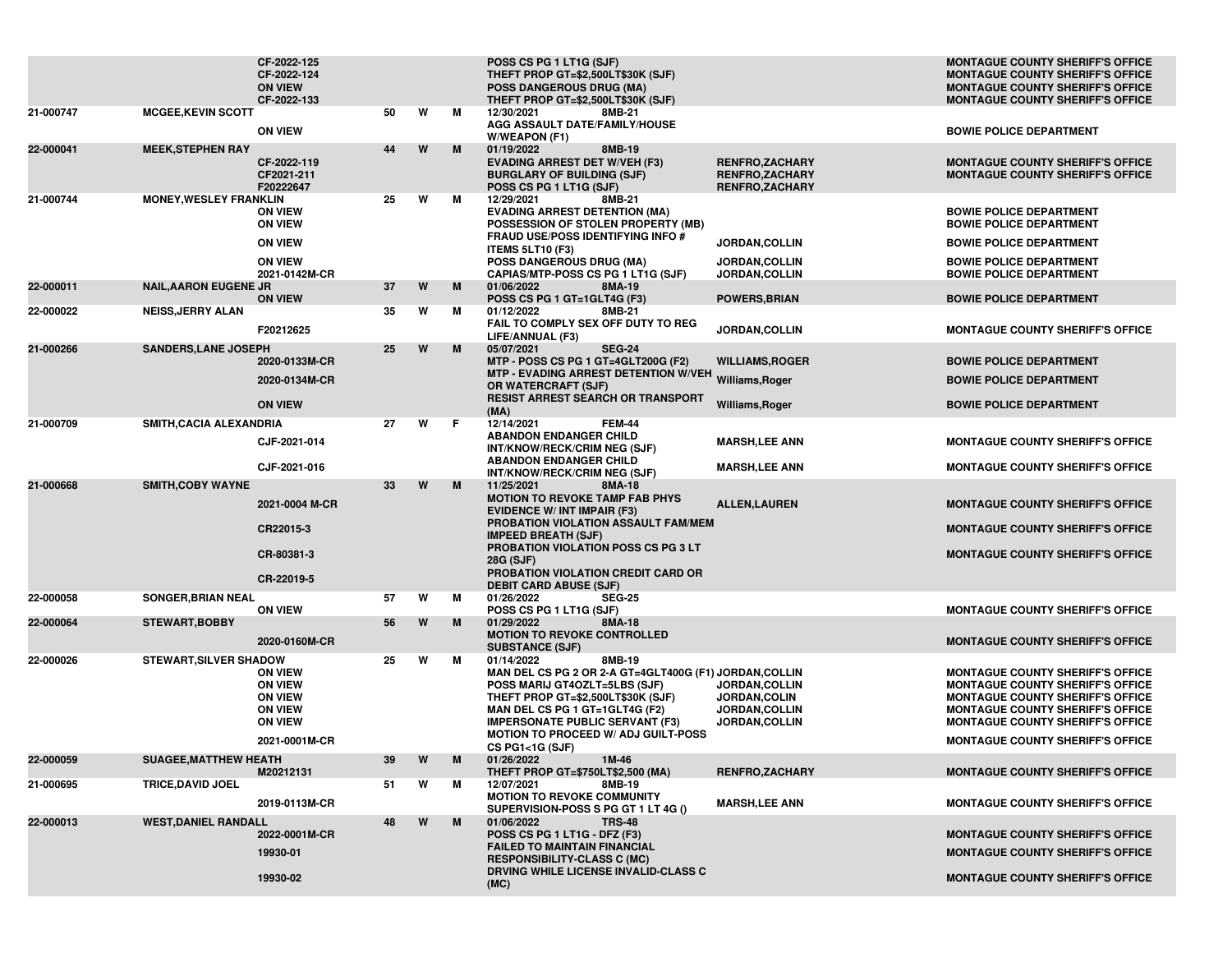|           |                               | CF-2022-125<br>CF-2022-124<br><b>ON VIEW</b><br>CF-2022-133                                             |    |   |   | POSS CS PG 1 LT1G (SJF)<br>THEFT PROP GT=\$2,500LT\$30K (SJF)<br><b>POSS DANGEROUS DRUG (MA)</b><br>THEFT PROP GT=\$2,500LT\$30K (SJF)                                                                                                                                                             |                                                                                 | <b>MONTAGUE COUNTY SHERIFF'S OFFICE</b><br><b>MONTAGUE COUNTY SHERIFF'S OFFICE</b><br><b>MONTAGUE COUNTY SHERIFF'S OFFICE</b><br><b>MONTAGUE COUNTY SHERIFF'S OFFICE</b>                                                                                       |
|-----------|-------------------------------|---------------------------------------------------------------------------------------------------------|----|---|---|----------------------------------------------------------------------------------------------------------------------------------------------------------------------------------------------------------------------------------------------------------------------------------------------------|---------------------------------------------------------------------------------|----------------------------------------------------------------------------------------------------------------------------------------------------------------------------------------------------------------------------------------------------------------|
| 21-000747 | <b>MCGEE, KEVIN SCOTT</b>     | <b>ON VIEW</b>                                                                                          | 50 | W | M | 12/30/2021<br>8MB-21<br>AGG ASSAULT DATE/FAMILY/HOUSE<br>W/WEAPON (F1)                                                                                                                                                                                                                             |                                                                                 | <b>BOWIE POLICE DEPARTMENT</b>                                                                                                                                                                                                                                 |
| 22-000041 | <b>MEEK, STEPHEN RAY</b>      | CF-2022-119<br>CF2021-211<br>F20222647                                                                  | 44 | W | M | 01/19/2022<br>8MB-19<br><b>EVADING ARREST DET W/VEH (F3)</b><br><b>BURGLARY OF BUILDING (SJF)</b><br>POSS CS PG 1 LT1G (SJF)                                                                                                                                                                       | <b>RENFRO,ZACHARY</b><br><b>RENFRO,ZACHARY</b><br><b>RENFRO,ZACHARY</b>         | <b>MONTAGUE COUNTY SHERIFF'S OFFICE</b><br>MONTAGUE COUNTY SHERIFF'S OFFICE                                                                                                                                                                                    |
| 21-000744 | <b>MONEY, WESLEY FRANKLIN</b> | <b>ON VIEW</b><br><b>ON VIEW</b>                                                                        | 25 | W | M | 12/29/2021<br>8MB-21<br><b>EVADING ARREST DETENTION (MA)</b><br>POSSESSION OF STOLEN PROPERTY (MB)<br>FRAUD USE/POSS IDENTIFYING INFO #                                                                                                                                                            |                                                                                 | <b>BOWIE POLICE DEPARTMENT</b><br><b>BOWIE POLICE DEPARTMENT</b><br><b>BOWIE POLICE DEPARTMENT</b>                                                                                                                                                             |
|           |                               | <b>ON VIEW</b><br><b>ON VIEW</b><br>2021-0142M-CR                                                       |    |   |   | <b>ITEMS 5LT10 (F3)</b><br><b>POSS DANGEROUS DRUG (MA)</b><br>CAPIAS/MTP-POSS CS PG 1 LT1G (SJF)                                                                                                                                                                                                   | <b>JORDAN,COLLIN</b><br>JORDAN, COLLIN<br><b>JORDAN,COLLIN</b>                  | <b>BOWIE POLICE DEPARTMENT</b><br><b>BOWIE POLICE DEPARTMENT</b>                                                                                                                                                                                               |
| 22-000011 | <b>NAIL, AARON EUGENE JR</b>  | <b>ON VIEW</b>                                                                                          | 37 | W | M | 01/06/2022<br>8MA-19<br>POSS CS PG 1 GT=1GLT4G (F3)                                                                                                                                                                                                                                                | <b>POWERS, BRIAN</b>                                                            | <b>BOWIE POLICE DEPARTMENT</b>                                                                                                                                                                                                                                 |
| 22-000022 | <b>NEISS, JERRY ALAN</b>      | F20212625                                                                                               | 35 | W | M | 01/12/2022<br>8MB-21<br>FAIL TO COMPLY SEX OFF DUTY TO REG<br>LIFE/ANNUAL (F3)                                                                                                                                                                                                                     | JORDAN, COLLIN                                                                  | <b>MONTAGUE COUNTY SHERIFF'S OFFICE</b>                                                                                                                                                                                                                        |
| 21-000266 | <b>SANDERS, LANE JOSEPH</b>   | 2020-0133M-CR<br>2020-0134M-CR                                                                          | 25 | W | M | 05/07/2021<br><b>SEG-24</b><br>MTP - POSS CS PG 1 GT=4GLT200G (F2)<br>MTP - EVADING ARREST DETENTION W/VEH Williams, Roger<br>OR WATERCRAFT (SJF)                                                                                                                                                  | <b>WILLIAMS, ROGER</b>                                                          | <b>BOWIE POLICE DEPARTMENT</b><br><b>BOWIE POLICE DEPARTMENT</b>                                                                                                                                                                                               |
|           |                               | <b>ON VIEW</b>                                                                                          |    |   |   | <b>RESIST ARREST SEARCH OR TRANSPORT</b><br>(MA)                                                                                                                                                                                                                                                   | Williams, Roger                                                                 | <b>BOWIE POLICE DEPARTMENT</b>                                                                                                                                                                                                                                 |
| 21-000709 | SMITH, CACIA ALEXANDRIA       | CJF-2021-014                                                                                            | 27 | W | F | 12/14/2021<br><b>FEM-44</b><br><b>ABANDON ENDANGER CHILD</b><br>INT/KNOW/RECK/CRIM NEG (SJF)                                                                                                                                                                                                       | <b>MARSH,LEE ANN</b>                                                            | <b>MONTAGUE COUNTY SHERIFF'S OFFICE</b>                                                                                                                                                                                                                        |
|           |                               | CJF-2021-016                                                                                            |    |   |   | <b>ABANDON ENDANGER CHILD</b><br>INT/KNOW/RECK/CRIM NEG (SJF)                                                                                                                                                                                                                                      | <b>MARSH,LEE ANN</b>                                                            | <b>MONTAGUE COUNTY SHERIFF'S OFFICE</b>                                                                                                                                                                                                                        |
| 21-000668 | <b>SMITH, COBY WAYNE</b>      | 2021-0004 M-CR<br>CR22015-3                                                                             | 33 | W | M | 11/25/2021<br>8MA-18<br><b>MOTION TO REVOKE TAMP FAB PHYS</b><br><b>EVIDENCE W/ INT IMPAIR (F3)</b><br>PROBATION VIOLATION ASSAULT FAM/MEM                                                                                                                                                         | <b>ALLEN, LAUREN</b>                                                            | <b>MONTAGUE COUNTY SHERIFF'S OFFICE</b><br><b>MONTAGUE COUNTY SHERIFF'S OFFICE</b>                                                                                                                                                                             |
|           |                               | CR-80381-3<br>CR-22019-5                                                                                |    |   |   | <b>IMPEED BREATH (SJF)</b><br>PROBATION VIOLATION POSS CS PG 3 LT<br>28G (SJF)<br>PROBATION VIOLATION CREDIT CARD OR                                                                                                                                                                               |                                                                                 | <b>MONTAGUE COUNTY SHERIFF'S OFFICE</b>                                                                                                                                                                                                                        |
| 22-000058 | <b>SONGER, BRIAN NEAL</b>     | <b>ON VIEW</b>                                                                                          | 57 | W | м | <b>DEBIT CARD ABUSE (SJF)</b><br>01/26/2022<br><b>SEG-25</b><br>POSS CS PG 1 LT1G (SJF)                                                                                                                                                                                                            |                                                                                 | <b>MONTAGUE COUNTY SHERIFF'S OFFICE</b>                                                                                                                                                                                                                        |
| 22-000064 | <b>STEWART, BOBBY</b>         | 2020-0160M-CR                                                                                           | 56 | W | M | 01/29/2022<br>8MA-18<br><b>MOTION TO REVOKE CONTROLLED</b><br><b>SUBSTANCE (SJF)</b>                                                                                                                                                                                                               |                                                                                 | <b>MONTAGUE COUNTY SHERIFF'S OFFICE</b>                                                                                                                                                                                                                        |
| 22-000026 | <b>STEWART, SILVER SHADOW</b> | <b>ON VIEW</b><br><b>ON VIEW</b><br><b>ON VIEW</b><br><b>ON VIEW</b><br><b>ON VIEW</b><br>2021-0001M-CR | 25 | W | M | 01/14/2022<br>8MB-19<br>MAN DEL CS PG 2 OR 2-A GT=4GLT400G (F1) JORDAN, COLLIN<br>POSS MARIJ GT4OZLT=5LBS (SJF)<br>THEFT PROP GT=\$2,500LT\$30K (SJF)<br>MAN DEL CS PG 1 GT=1GLT4G (F2)<br><b>IMPERSONATE PUBLIC SERVANT (F3)</b><br><b>MOTION TO PROCEED W/ ADJ GUILT-POSS</b><br>CS PG1<1G (SJF) | <b>JORDAN,COLLIN</b><br>JORDAN, COLIN<br>JORDAN, COLLIN<br><b>JORDAN,COLLIN</b> | <b>MONTAGUE COUNTY SHERIFF'S OFFICE</b><br><b>MONTAGUE COUNTY SHERIFF'S OFFICE</b><br><b>MONTAGUE COUNTY SHERIFF'S OFFICE</b><br><b>MONTAGUE COUNTY SHERIFF'S OFFICE</b><br><b>MONTAGUE COUNTY SHERIFF'S OFFICE</b><br><b>MONTAGUE COUNTY SHERIFF'S OFFICE</b> |
| 22-000059 | <b>SUAGEE, MATTHEW HEATH</b>  | M20212131                                                                                               | 39 | W | M | 01/26/2022<br>1M-46<br>THEFT PROP GT=\$750LT\$2,500 (MA)                                                                                                                                                                                                                                           | <b>RENFRO,ZACHARY</b>                                                           | <b>MONTAGUE COUNTY SHERIFF'S OFFICE</b>                                                                                                                                                                                                                        |
| 21-000695 | TRICE, DAVID JOEL             | 2019-0113M-CR                                                                                           | 51 | W | М | 8MB-19<br>12/07/2021<br><b>MOTION TO REVOKE COMMUNITY</b><br>SUPERVISION-POSS S PG GT 1 LT 4G ()                                                                                                                                                                                                   | <b>MARSH,LEE ANN</b>                                                            | <b>MONTAGUE COUNTY SHERIFF'S OFFICE</b>                                                                                                                                                                                                                        |
| 22-000013 | <b>WEST, DANIEL RANDALL</b>   | 2022-0001M-CR<br>19930-01<br>19930-02                                                                   | 48 | W | M | 01/06/2022<br><b>TRS-48</b><br>POSS CS PG 1 LT1G - DFZ (F3)<br><b>FAILED TO MAINTAIN FINANCIAL</b><br><b>RESPONSIBILITY-CLASS C (MC)</b><br>DRVING WHILE LICENSE INVALID-CLASS C<br>(MC)                                                                                                           |                                                                                 | <b>MONTAGUE COUNTY SHERIFF'S OFFICE</b><br><b>MONTAGUE COUNTY SHERIFF'S OFFICE</b><br><b>MONTAGUE COUNTY SHERIFF'S OFFICE</b>                                                                                                                                  |